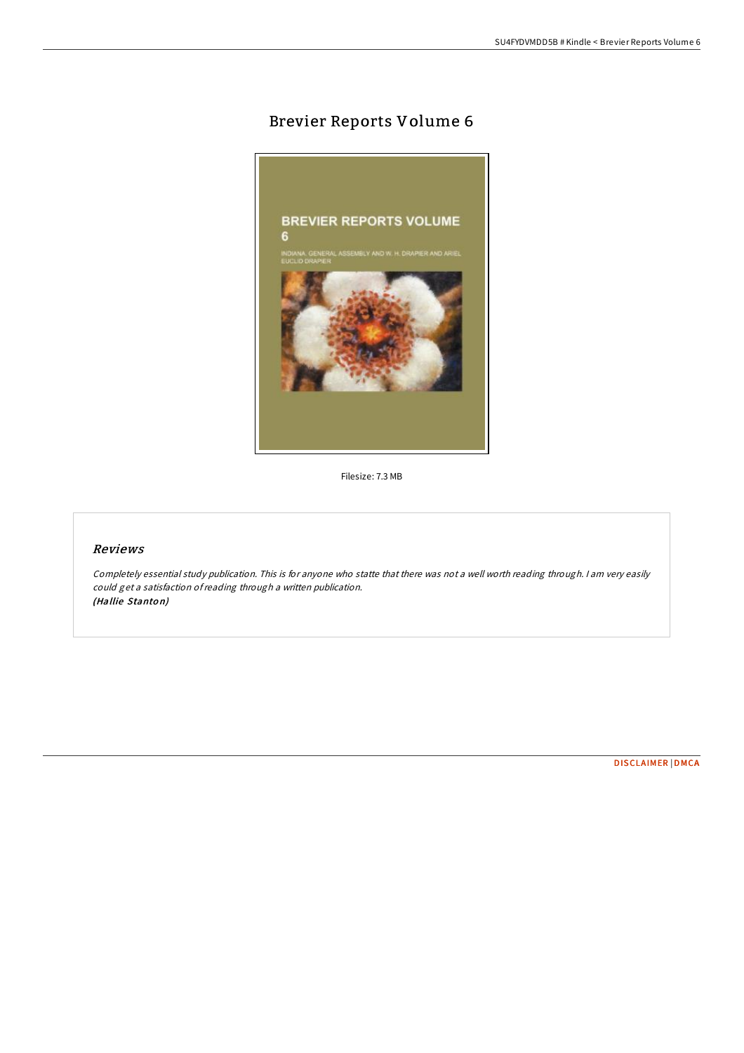# Brevier Reports Volume 6



Filesize: 7.3 MB

# Reviews

Completely essential study publication. This is for anyone who statte that there was not <sup>a</sup> well worth reading through. <sup>I</sup> am very easily could get <sup>a</sup> satisfaction ofreading through <sup>a</sup> written publication. (Hallie Stanto n)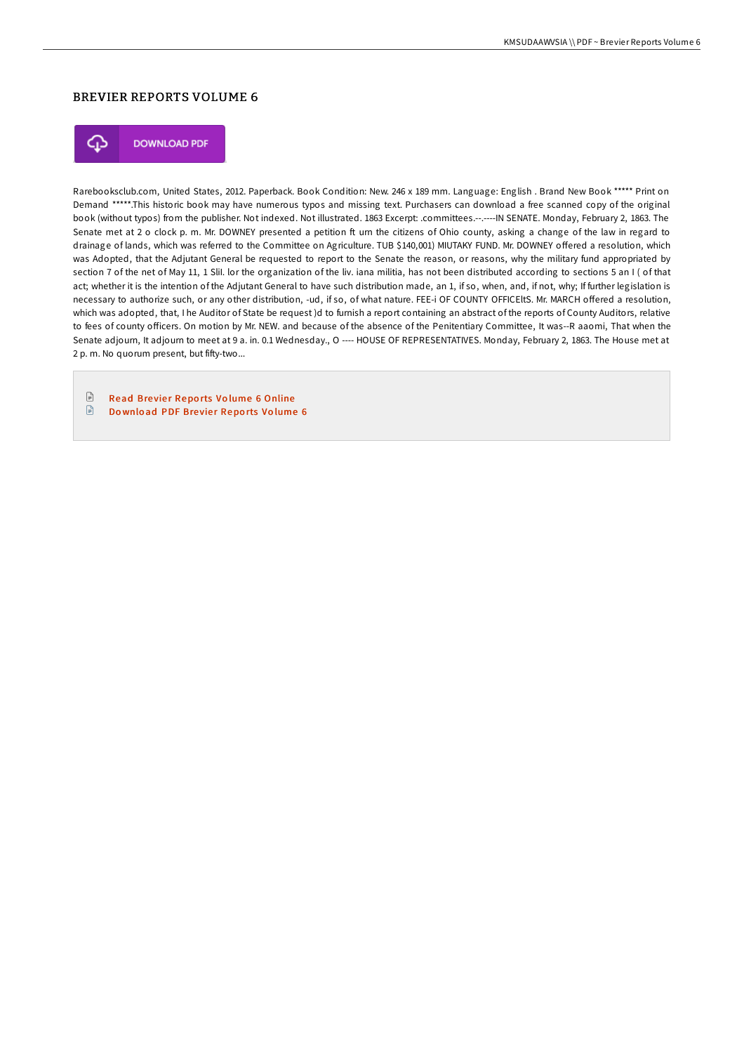### BREVIER REPORTS VOLUME 6



**DOWNLOAD PDF** 

Rarebooksclub.com, United States, 2012. Paperback. Book Condition: New. 246 x 189 mm. Language: English . Brand New Book \*\*\*\*\* Print on Demand \*\*\*\*\*.This historic book may have numerous typos and missing text. Purchasers can download a free scanned copy of the original book (without typos) from the publisher. Not indexed. Not illustrated. 1863 Excerpt: .committees.--.----IN SENATE. Monday, February 2, 1863. The Senate met at 2 o clock p. m. Mr. DOWNEY presented a petition ft urn the citizens of Ohio county, asking a change of the law in regard to drainage of lands, which was referred to the Committee on Agriculture. TUB \$140,001) MIUTAKY FUND. Mr. DOWNEY offered a resolution, which was Adopted, that the Adjutant General be requested to report to the Senate the reason, or reasons, why the military fund appropriated by section 7 of the net of May 11, 1 Slil. lor the organization of the liv. iana militia, has not been distributed according to sections 5 an I ( of that act; whether it is the intention of the Adjutant General to have such distribution made, an 1, if so, when, and, if not, why; If further legislation is necessary to authorize such, or any other distribution, -ud, if so, of what nature. FEE-i OF COUNTY OFFICEltS. Mr. MARCH offered a resolution, which was adopted, that, I he Auditor of State be request )d to furnish a report containing an abstract of the reports of County Auditors, relative to fees of county officers. On motion by Mr. NEW. and because of the absence of the Penitentiary Committee, It was--R aaomi, That when the Senate adjourn, It adjourn to meet at 9 a. in. 0.1 Wednesday., O ---- HOUSE OF REPRESENTATIVES. Monday, February 2, 1863. The House met at 2 p. m. No quorum present, but fifty-two...

 $\Box$ Read Brevier Reports Volume 6 [Online](http://almighty24.tech/brevier-reports-volume-6-paperback.html)  $\textcolor{red}{\Box}$ Download PDF Brevier [Repo](http://almighty24.tech/brevier-reports-volume-6-paperback.html)rts Volume 6